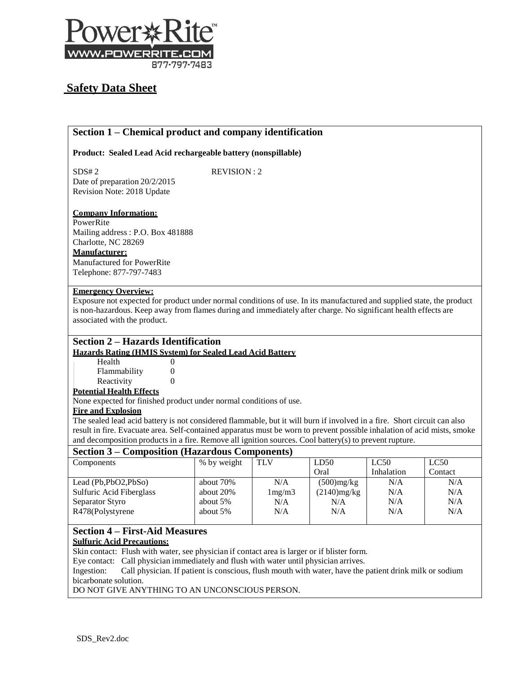

# **Safety Data Sheet**

# **Section 1 – Chemical product and company identification**

**Product: Sealed Lead Acid rechargeable battery (nonspillable)**

SDS# 2 REVISION : 2 Date of preparation 20/2/2015 Revision Note: 2018 Update

### **Company Information:**

PowerRite Mailing address : P.O. Box 481888 Charlotte, NC 28269 **Manufacturer:** Manufactured for PowerRite Telephone: 877-797-7483

### **Emergency Overview:**

Exposure not expected for product under normal conditions of use. In its manufactured and supplied state, the product is non-hazardous. Keep away from flames during and immediately after charge. No significant health effects are associated with the product.

# **Section 2 – Hazards Identification**

### **Hazards Rating (HMIS System) for Sealed Lead Acid Battery**

| Health       | 0 |
|--------------|---|
| Flammability | 0 |
| Reactivity   | 0 |

# **Potential Health Effects**

None expected for finished product under normal conditions of use.

# **Fire and Explosion**

The sealed lead acid battery is not considered flammable, but it will burn if involved in a fire. Short circuit can also result in fire. Evacuate area. Self-contained apparatus must be worn to prevent possible inhalation of acid mists, smoke and decomposition products in a fire. Remove all ignition sources. Cool battery(s) to prevent rupture.

# **Section 3 – Composition (Hazardous Components)**

| DVVUJIL V<br>Composition (Theorical Composition) |             |                 |                |            |         |  |  |
|--------------------------------------------------|-------------|-----------------|----------------|------------|---------|--|--|
| Components                                       | % by weight | <b>TLV</b>      | LD50           | LC50       | LC50    |  |  |
|                                                  |             |                 | Oral           | Inhalation | Contact |  |  |
| Lead (Pb,PbO2,PbSo)                              | about 70\%  | N/A             | $(500)$ mg/kg  | N/A        | N/A     |  |  |
| Sulfuric Acid Fiberglass                         | about 20%   | $1 \text{mg/m}$ | $(2140)$ mg/kg | N/A        | N/A     |  |  |
| Separator Styro                                  | about 5%    | N/A             | N/A            | N/A        | N/A     |  |  |
| R478(Polystyrene                                 | about 5%    | N/A             | N/A            | N/A        | N/A     |  |  |
|                                                  |             |                 |                |            |         |  |  |

#### **Section 4 – First-Aid Measures Sulfuric Acid Precautions:**

Skin contact: Flush with water, see physician if contact area is larger or if blister form.

Eye contact: Call physician immediately and flush with water until physician arrives.

Ingestion: Call physician. If patient is conscious, flush mouth with water, have the patient drink milk or sodium bicarbonate solution.

DO NOT GIVE ANYTHING TO AN UNCONSCIOUS PERSON.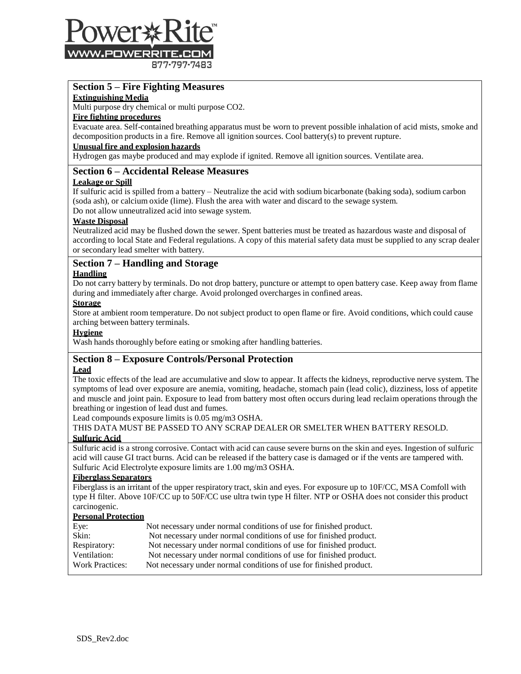

877-797-7483

# **Section 5 – Fire Fighting Measures**

#### **Extinguishing Media**

Multi purpose dry chemical or multi purpose CO2.

### **Fire fighting procedures**

Evacuate area. Self-contained breathing apparatus must be worn to prevent possible inhalation of acid mists, smoke and decomposition products in a fire. Remove all ignition sources. Cool battery(s) to prevent rupture.

# **Unusual fire and explosion hazards**

Hydrogen gas maybe produced and may explode if ignited. Remove all ignition sources. Ventilate area.

### **Section 6 – Accidental Release Measures**

#### **Leakage or Spill**

If sulfuric acid is spilled from a battery – Neutralize the acid with sodium bicarbonate (baking soda), sodium carbon (soda ash), or calcium oxide (lime). Flush the area with water and discard to the sewage system.

Do not allow unneutralized acid into sewage system.

### **Waste Disposal**

Neutralized acid may be flushed down the sewer. Spent batteries must be treated as hazardous waste and disposal of according to local State and Federal regulations. A copy of this material safety data must be supplied to any scrap dealer or secondary lead smelter with battery.

# **Section 7 – Handling and Storage**

#### **Handling**

Do not carry battery by terminals. Do not drop battery, puncture or attempt to open battery case. Keep away from flame during and immediately after charge. Avoid prolonged overcharges in confined areas.

#### **Storage**

Store at ambient room temperature. Do not subject product to open flame or fire. Avoid conditions, which could cause arching between battery terminals.

#### **Hygiene**

Wash hands thoroughly before eating or smoking after handling batteries.

# **Section 8 – Exposure Controls/Personal Protection**

### **Lead**

The toxic effects of the lead are accumulative and slow to appear. It affects the kidneys, reproductive nerve system. The symptoms of lead over exposure are anemia, vomiting, headache, stomach pain (lead colic), dizziness, loss of appetite and muscle and joint pain. Exposure to lead from battery most often occurs during lead reclaim operations through the breathing or ingestion of lead dust and fumes.

Lead compounds exposure limits is 0.05 mg/m3 OSHA.

#### THIS DATA MUST BE PASSED TO ANY SCRAP DEALER OR SMELTER WHEN BATTERY RESOLD. **Sulfuric Acid**

Sulfuric acid is a strong corrosive. Contact with acid can cause severe burns on the skin and eyes. Ingestion of sulfuric acid will cause GI tract burns. Acid can be released if the battery case is damaged or if the vents are tampered with. Sulfuric Acid Electrolyte exposure limits are 1.00 mg/m3 OSHA.

#### **Fiberglass Separators**

Fiberglass is an irritant of the upper respiratory tract, skin and eyes. For exposure up to 10F/CC, MSA Comfoll with type H filter. Above 10F/CC up to 50F/CC use ultra twin type H filter. NTP or OSHA does not consider this product carcinogenic.

#### **Personal Protection**

| Eye:                   | Not necessary under normal conditions of use for finished product. |
|------------------------|--------------------------------------------------------------------|
| Skin:                  | Not necessary under normal conditions of use for finished product. |
| Respiratory:           | Not necessary under normal conditions of use for finished product. |
| Ventilation:           | Not necessary under normal conditions of use for finished product. |
| <b>Work Practices:</b> | Not necessary under normal conditions of use for finished product. |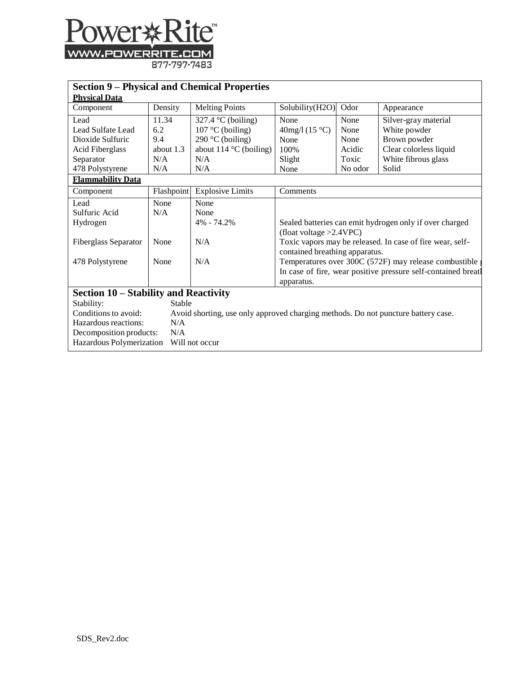

| <b>Section 9 – Physical and Chemical Properties</b>                                                       |             |                                 |                                                                                           |         |                                                         |
|-----------------------------------------------------------------------------------------------------------|-------------|---------------------------------|-------------------------------------------------------------------------------------------|---------|---------------------------------------------------------|
| <b>Physical Data</b>                                                                                      |             |                                 |                                                                                           |         |                                                         |
| Component                                                                                                 | Density     | <b>Melting Points</b>           | Solubility(H2O)                                                                           | Odor    | Appearance                                              |
| Lead                                                                                                      | 11.34       | 327.4 $\degree$ C (boiling)     | None                                                                                      | None    | Silver-gray material                                    |
| Lead Sulfate Lead                                                                                         | 6.2         | $107 °C$ (boiling)              | 40mg/l $(15 °C)$                                                                          | None    | White powder                                            |
| Dioxide Sulfuric                                                                                          | 9.4         | 290 °C (boiling)                | None                                                                                      | None    | Brown powder                                            |
| Acid Fiberglass                                                                                           | about $1.3$ | about $114^{\circ}$ C (boiling) | 100%                                                                                      | Acidic  | Clear colorless liquid                                  |
| Separator                                                                                                 | N/A         | N/A                             | Slight                                                                                    | Toxic   | White fibrous glass                                     |
| 478 Polystyrene                                                                                           | N/A         | N/A                             | None                                                                                      | No odor | Solid                                                   |
| <b>Flammability Data</b>                                                                                  |             |                                 |                                                                                           |         |                                                         |
| Component                                                                                                 | Flashpoint  | <b>Explosive Limits</b>         | Comments                                                                                  |         |                                                         |
| Lead                                                                                                      | None        | None                            |                                                                                           |         |                                                         |
| Sulfuric Acid                                                                                             | N/A         | None                            |                                                                                           |         |                                                         |
| Hydrogen                                                                                                  |             | 4% - 74.2%                      |                                                                                           |         | Sealed batteries can emit hydrogen only if over charged |
|                                                                                                           |             |                                 | (float voltage $>2.4$ VPC)                                                                |         |                                                         |
| Fiberglass Separator                                                                                      | None        | N/A                             | Toxic vapors may be released. In case of fire wear, self-                                 |         |                                                         |
| 478 Polystyrene                                                                                           | None        | N/A                             | contained breathing apparatus.<br>Temperatures over 300C (572F) may release combustible a |         |                                                         |
|                                                                                                           |             |                                 | In case of fire, wear positive pressure self-contained breath                             |         |                                                         |
|                                                                                                           |             |                                 | apparatus.                                                                                |         |                                                         |
| Section 10 – Stability and Reactivity                                                                     |             |                                 |                                                                                           |         |                                                         |
| Stability:                                                                                                | Stable      |                                 |                                                                                           |         |                                                         |
| Conditions to avoid:<br>Avoid shorting, use only approved charging methods. Do not puncture battery case. |             |                                 |                                                                                           |         |                                                         |
| Hazardous reactions:<br>N/A                                                                               |             |                                 |                                                                                           |         |                                                         |
| Decomposition products:<br>N/A                                                                            |             |                                 |                                                                                           |         |                                                         |
| Hazardous Polymerization<br>Will not occur                                                                |             |                                 |                                                                                           |         |                                                         |
|                                                                                                           |             |                                 |                                                                                           |         |                                                         |